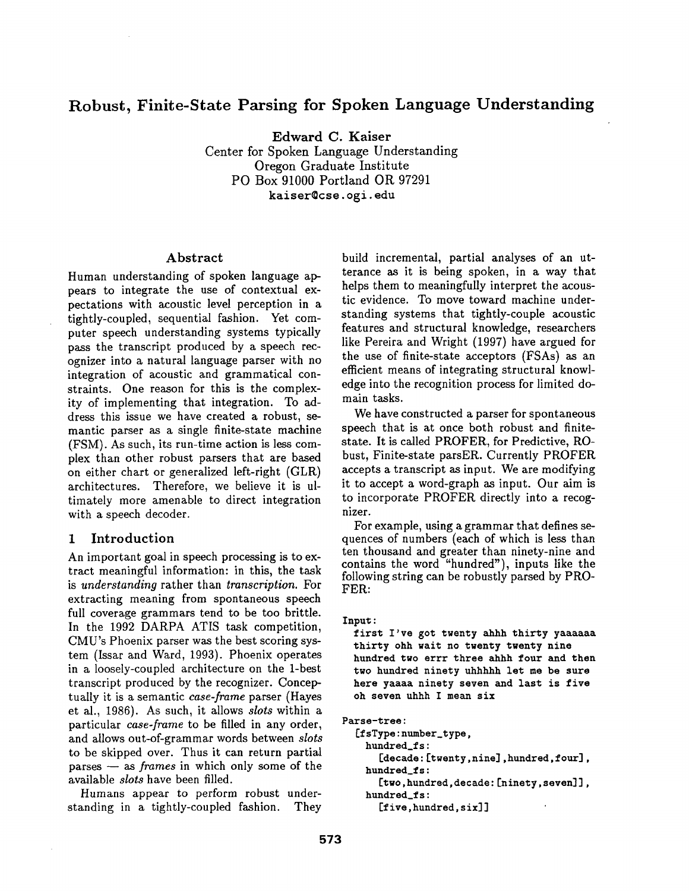# **Robust, Finite-State Parsing for Spoken Language Understanding**

Edward C. Kaiser Center for Spoken Language Understanding Oregon Graduate Institute PO Box 91000 Portland OR 97291 **kaiser©cse, ogi.** edu

#### Abstract

Human understanding of spoken language appears to integrate the use of contextual expectations with acoustic level perception in a tightly-coupled, sequential fashion. Yet computer speech understanding systems typically pass the transcript produced by a speech recognizer into a natural language parser with no integration of acoustic and grammatical constraints. One reason for this is the complexity of implementing that integration. To address this issue we have created a robust, semantic parser as a single finite-state machine (FSM). As such, its run-time action is less complex than other robust parsers that are based on either chart or generalized left-right (GLR) architectures. Therefore, we believe it is ultimately more amenable to direct integration with a speech decoder.

### 1 Introduction

An important goal in speech processing is to extract meaningful information: in this, the task is *understanding* rather than *transcription.* For extracting meaning from spontaneous speech full coverage grammars tend to be too brittle. In the 1992 DARPA ATIS task competition, CMU's Phoenix parser was the best scoring system (Issar and Ward, 1993). Phoenix operates in a loosely-coupled architecture on the 1-best transcript produced by the recognizer. Conceptually it is a semantic *case-frame* parser (Hayes et al., 1986). As such, it allows *slots* within a particular *ease-frame* to be filled in any order, and allows out-of-grammar words between *slots*  to be skipped over. Thus it can return partial parses -- as *frames* in which only some of the available *slots* have been filled.

Humans appear to perform robust understanding in a tightly-coupled fashion. They

build incremental, partial analyses of an utterance as it is being spoken, in a way that helps them to meaningfully interpret the acoustic evidence. To move toward machine understanding systems that tightly-couple acoustic features and structural knowledge, researchers like Pereira and Wright (1997) have argued for the use of finite-state acceptors (FSAs) as an efficient means of integrating structural knowledge into the recognition process for limited domain tasks.

We have constructed a parser for spontaneous speech that is at once both robust and finitestate. It is called PROFER, for Predictive, RObust, Finite-state parsER. Currently PROFER accepts a transcript as input. We are modifying it to accept a word-graph as input. Our aim is to incorporate PROFER directly into a recognizer.

For example, using a grammar that defines sequences of numbers (each of which is less than ten thousand and greater than ninety-nine and contains the word "hundred"), inputs like the following string can be robustly parsed by PRO-FER:

```
Input:
```
first I've got twenty ahhh thirty **yaaaaaa**  thirty ohh wait no **twenty twenty nine hundred two** errr three ahhh four and **then two** hundred ninety uhhhhh let me be **sure here yaaaa ninety seven** and last is five oh seven uhhh I mean **six** 

**Parse-tree: [fsType:numher\_type, hundred\_fs: [decade:[twenty,nine],hundred,four], hundred\_fs: [two,hundred,decade:[ninety,seven]],**  hundred\_fs: [five,hundred,six]]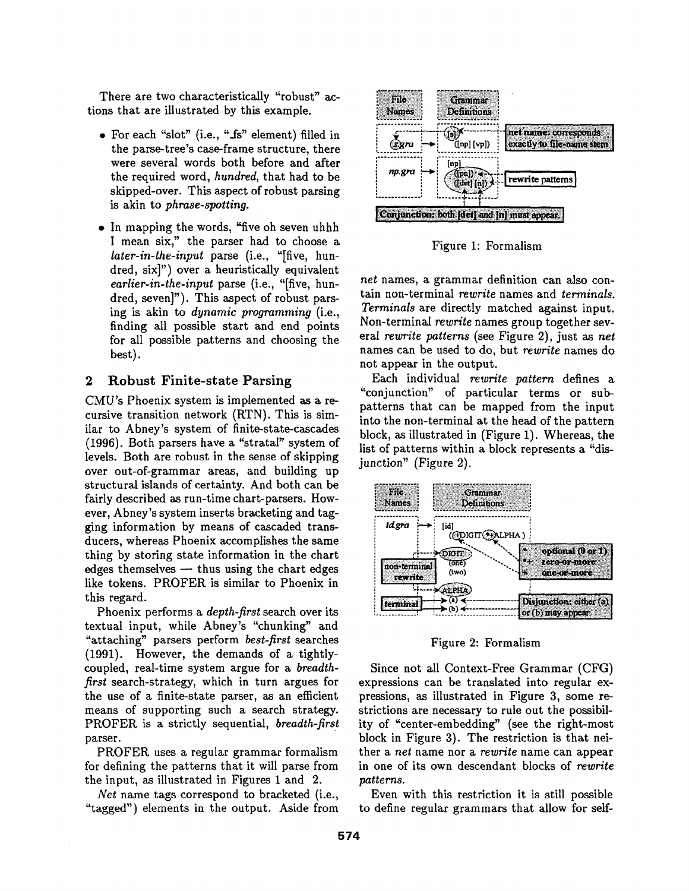There are two characteristically "robust" actions that are illustrated by this example.

- For each "slot" (i.e., "fs" element) filled in the parse-tree's case-frame structure, there were several words both before and after the required word, *hundred,* that had to be skipped-over. This aspect of robust parsing is akin to *phrase-spotting.*
- In mapping the words, "five oh seven uhhh I mean six," the parser had to choose a *later-in-the-input* parse (i.e., "[five, hundred, six]") over a heuristically equivalent *earlier-in-the-input* parse (i.e., "[five, hundred, seven]"). This aspect of robust parsing is akin to *dynamic programming* (i.e., finding all possible start and end points for all possible patterns and choosing the best).

### **2 Robust Finite-state Parsing**

CMU's Phoenix system is implemented as a recursive transition network (RTN). This is similar to Abney's system of finite-state-cascades (1996). Both parsers have a "stratal" system of levels. Both are robust in the sense of skipping over out-of-grammar areas, and building up structural islands of certainty. And both can be fairly described as run-time chart-parsers. However, Abney's system inserts bracketing and tagging information by means of cascaded transducers, whereas Phoenix accomplishes the same thing by storing state information in the chart edges themselves  $-$  thus using the chart edges like tokens. PROFER is similar to Phoenix in this regard.

Phoenix performs a *depth-first* search over its textual input, while Abney's "chunking" and "attaching" parsers perform *best-first* searches (1991). However, the demands of a tightlycoupled, real-time system argue for a *breadthfirst* search-strategy, which in turn argues for the use of a finite-state parser, as an efficient means of supporting such a search strategy. PROFER is a strictly sequential, *breadth-first*  parser.

PROFER uses a regular grammar formalism for defining the patterns that it will parse from the input, as illustrated in Figures 1 and 2.

*Net* name tags correspond to bracketed (i.e., "tagged") elements in the output. Aside from



Figure 1: Formalism

*net* names, a grammar definition can also contain non-terminal *rewrite* names and *terminals. Terminals* are directly matched against input. Non-terminal *rewrite* names group together several *rewrite patterns* (see Figure 2), just as *net*  names can be used to do, but *rewrite* names do not appear in the output.

Each individual *rewrite pattern* defines a "conjunction" of particular terms or subpatterns that can be mapped from the input into the non-terminal at the head of the pattern block, as illustrated in (Figure 1). Whereas, the list of patterns within a block represents a "disjunction" (Figure 2).



Figure 2: Formalism

Since not all Context-Free Grammar (CFG) expressions can be translated into regular expressions, as illustrated in Figure 3, some restrictions are necessary to rule out the possibility of "center-embedding" (see the right-most block in Figure 3). The restriction is that neither a *net* name nor a *rewrite* name can appear in one of its own descendant blocks of *rewrite patterns.* 

Even with this restriction it is still possible to define regular grammars that allow for self-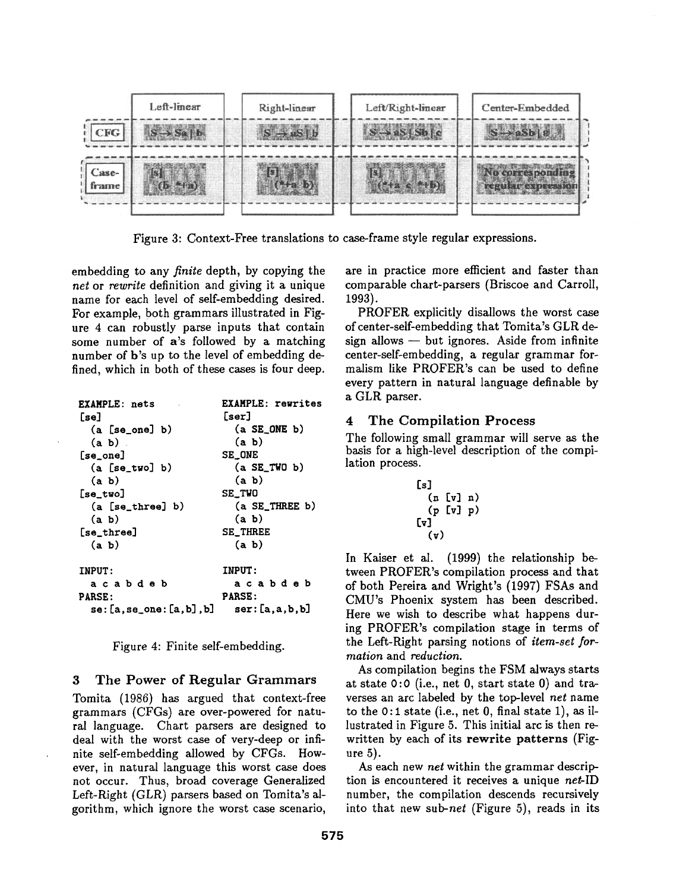

Figure 3: Context-Free translations to case-frame style regular expressions.

embedding to any *finite* depth, by copying the *net* or *rewrite* definition and giving it a unique name for each level of self-embedding desired. For example, both grammars illustrated in Figure 4 can robustly parse inputs that contain some number of a's followed by a matching number of b's up to the level of embedding defined, which in both of these cases is four deep.

| <b>EXAMPLE: nets</b><br>[se] | <b>EXAMPLE: rewrites</b><br>[ser] |
|------------------------------|-----------------------------------|
| $(a [se-one] b)$             | $(a$ SE_ONE $b)$                  |
| $(a, b)$ .                   | (a, b)                            |
| $[se]on$ e]                  | SE_ONE                            |
| (a [se two] b)               | $(a$ SE_TWO b)                    |
| (a, b)                       | (a, b)                            |
| $[$ se_two $]$               | SE_TWO                            |
| $(a [se_{three}] b)$         | $(a$ SE_THREE b)                  |
| (a, b)                       | (a, b)                            |
| [se_three]                   | <b>SE THREE</b>                   |
| (a, b)                       | (a, b)                            |
| <b>INPUT:</b>                | <b>INPUT:</b>                     |
| a cabdeb                     | acabdeb                           |
| <b>PARSE:</b>                | <b>PARSE:</b>                     |
| se: [a,se_one: [a,b],b]      | ser: [a, a, b, b]                 |

Figure 4: Finite self-embedding.

#### 3 The Power of Regular Grammars

Tomita (1986) has argued that context-free grammars (CFGs) are over-powered for natural language. Chart parsers are designed to deal with the worst case of very-deep or infinite self-embedding allowed by CFGs. However, in natural language this worst case does not occur. Thus, broad coverage Generalized Left-Right (GLR) parsers based on Tomita's algorithm, which ignore the worst case scenario,

are in practice more efficient and faster than comparable chart-parsers (Briscoe and Carroll, 1993).

PROFER explicitly disallows the worst case of center-self-embedding that Tomita's GLR de $sign$  allows  $-$  but ignores. Aside from infinite center-self-embedding, a regular grammar formalism like PROFER's can be used to define every pattern in natural language definable by a GLR parser.

#### 4 The Compilation Process

The following small grammar will serve as the basis for a high-level description of the compilation process.

$$
\begin{array}{c} \text{[s]}\\ \text{(n [v] n)}\\ \text{(p [v] p)}\\ \text{[v]}\\ \text{(v)}\\ \end{array}
$$

In Kaiser et al. (1999) the relationship between PROFER's compilation process and that of both Pereira and Wright's (1997) FSAs and CMU's Phoenix system has been described. Here we wish to describe what happens during PROFER's compilation stage in terms of the Left-Right parsing notions of *item-set formation* and *reduction.* 

As compilation begins the FSM always starts at state 0:0 (i.e., net 0, start state 0) and traverses an arc labeled by the top-level *net* name to the 0:1 state (i.e., net 0, final state 1), as illustrated in Figure 5. This initial arc is then rewritten by each of its rewrite patterns (Figure 5).

As each new *net* within the grammar description is encountered it receives a unique *net-ID*  number, the compilation descends recursively into that new *sub-net* (Figure 5), reads in its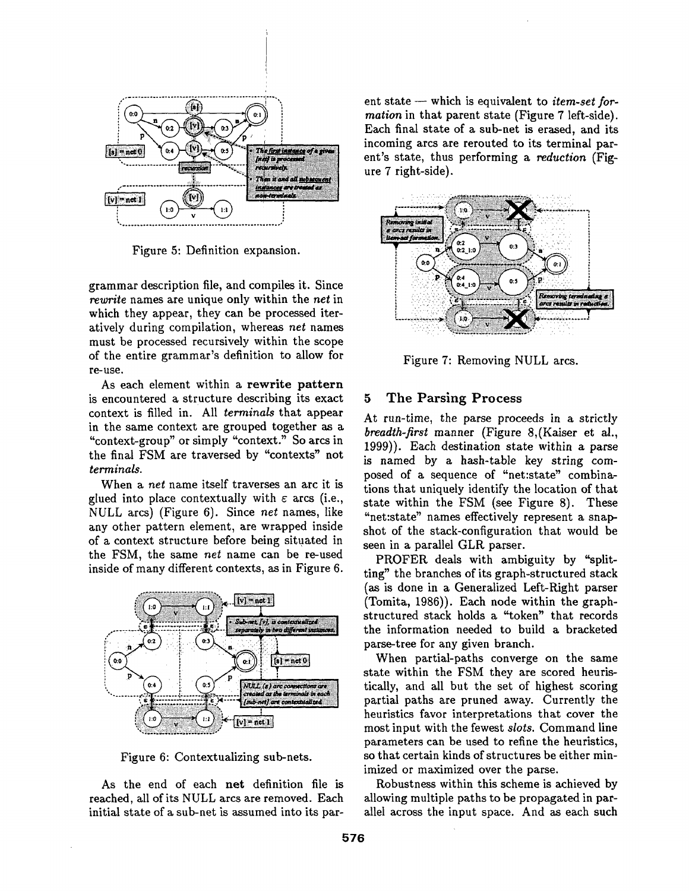

Figure 5: Definition expansion.

grammar description file, and compiles it. Since *rewrite* names are unique only within the *net* in which they appear, they can be processed iteratively during compilation, whereas *net* names must be processed recursively within the scope of the entire grammar's definition to allow for re-use.

As each element within a rewrite pattern is encountered a structure describing its exact context is filled in. All *terminals* that appear in the same context are grouped together as a "context-group" or simply "context." So arcs in the final FSM are traversed by "contexts" not *terminals.* 

When a *net* name itself traverses an arc it is glued into place contextually with  $\varepsilon$  arcs (i.e., NULL arcs) (Figure 6). Since *net* names, like any other pattern element, are wrapped inside of a context structure before being situated in the FSM, the same *net* name can be re-used inside of many different contexts, as in Figure 6.



Figure 6: Contextualizing sub-nets.

As the end of each net definition file is reached, all of its NULL arcs are removed. Each initial state of a sub-net is assumed into its parent state – which is equivalent to *item-set formation* in that parent state (Figure 7 left-side). Each final state of a sub-net is erased, and its incoming arcs are rerouted to its terminal parent's state, thus performing a *reduction* (Figure 7 right-side).



Figure 7: Removing NULL arcs.

#### 5 The Parsing Process

At run-time, the parse proceeds in a strictly *breadth-first* manner (Figure 8,(Kaiser et al., 1999)). Each destination state within a parse is named by a hash-table key string composed of a sequence of "net:state" combinations that uniquely identify the location of that state within the FSM (see Figure 8). These "net:state" names effectively represent a snapshot of the stack-configuration that would be seen in a parallel GLR parser.

PROFER deals with ambiguity by "splitting" the branches of its graph-structured stack (as is done in a Generalized Left-Right parser (Tomita, 1986)). Each node within the graphstructured stack holds a "token" that records the information needed to build a bracketed parse-tree for any given branch.

When partial-paths converge on the same state within the FSM they are scored heuristically, and all but the set of highest scoring partial paths are pruned away. Currently the heuristics favor interpretations that cover the most input with the fewest *slots.* Command line parameters can be used to refine the heuristics, so that certain kinds of structures be either minimized or maximized over the parse.

Robustness within this scheme is achieved by allowing multiple paths to be propagated in parallel across the input space. And as each such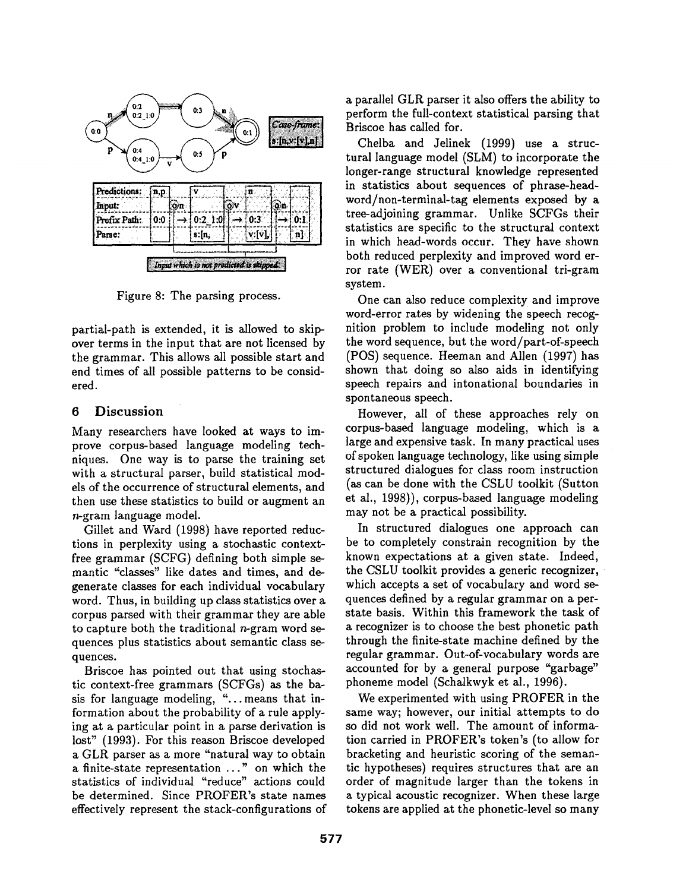

Figure 8: The parsing process.

partial-path is extended, it is allowed to skipover terms in the input that are not licensed by the grammar. This allows all possible start and end times of all possible patterns to be considered.

## **6 Discussion**

Many researchers have looked at ways to improve corpus-based language modeling techniques. One way is to parse the training set with a structural parser, build statistical models of the occurrence of structural elements, and then use these statistics to build or augment an n-gram language model.

Gillet and Ward (1998) have reported reductions in perplexity using a stochastic contextfree grammar (SCFG) defining both simple semantic "classes" like dates and times, and degenerate classes for each individual vocabulary word. Thus, in building up class statistics over a corpus parsed with their grammar they are able to capture both the traditional  $n$ -gram word sequences plus statistics about semantic class sequences.

Briscoe has pointed out that using stochastic context-free grammars (SCFGs) as the basis for language modeling, "...means that information about the probability of a rule applying at a particular point in a parse derivation is lost" (1993). For this reason Briscoe developed a GLR parser as a more "natural way to obtain a finite-state representation ..." on which the statistics of individual "reduce" actions could be determined. Since PROFER's state names effectively represent the stack-configurations of a parallel GLR parser it also offers the ability to perform the full-context statistical parsing that Briscoe has called for.

Chelba and Jelinek (1999) use a structural language model (SLM) to incorporate the longer-range structural knowledge represented in statistics about sequences of phrase-headword/non-terminal-tag elements exposed by a tree-adjoining grammar. Unlike SCFGs their statistics are specific to the structural context in which head-words occur. They have shown both reduced perplexity and improved word error rate (WER) over a conventional tri-gram system.

One can also reduce complexity and improve word-error rates by widening the speech recognition problem to include modeling not only the word sequence, but the word/part-of-speech (POS) sequence. Heeman and Allen (1997) has shown that doing so also aids in identifying speech repairs and intonational boundaries in spontaneous speech.

However, all of these approaches rely on corpus-based language modeling, which is a large and expensive task. In many practical uses of spoken language technology, like using simple structured dialogues for class room instruction (as can be done with the CSLU toolkit (Sutton et al., 1998)), corpus-based language modeling may not be a practical possibility.

In structured dialogues one approach can be to completely constrain recognition by the known expectations at a given state. Indeed, the CSLU toolkit provides a generic recognizer, which accepts a set of vocabulary and word sequences defined by a regular grammar on a perstate basis. Within this framework the task of a recognizer is to choose the best phonetic path through the finite-state machine defined by the regular grammar. Out-of-vocabulary words are accounted for by a general purpose "garbage" phoneme model (Schalkwyk et al., 1996).

We experimented with using PROFER in the same way; however, our initial attempts to do so did not work well. The amount of information carried in PROFER's token's (to allow for bracketing and heuristic scoring of the semantic hypotheses) requires structures that are an order of magnitude larger than the tokens in a typical acoustic recognizer. When these large tokens are applied at the phonetic-level so many